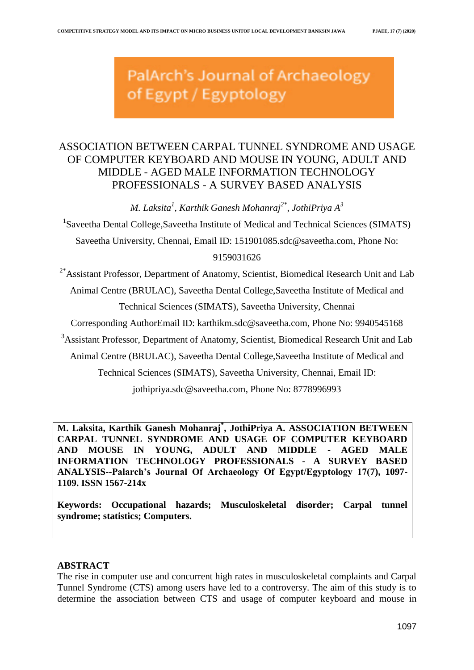PalArch's Journal of Archaeology of Egypt / Egyptology

# ASSOCIATION BETWEEN CARPAL TUNNEL SYNDROME AND USAGE OF COMPUTER KEYBOARD AND MOUSE IN YOUNG, ADULT AND MIDDLE - AGED MALE INFORMATION TECHNOLOGY PROFESSIONALS - A SURVEY BASED ANALYSIS

*M. Laksita<sup>1</sup> , Karthik Ganesh Mohanraj2\*, JothiPriya A<sup>3</sup>*

<sup>1</sup>Saveetha Dental College, Saveetha Institute of Medical and Technical Sciences (SIMATS) Saveetha University, Chennai, Email ID: [151901085.sdc@saveetha.com,](mailto:151901083.sdc@saveetha.com) Phone No:

# 9159031626

 $2*$ Assistant Professor, Department of Anatomy, Scientist, Biomedical Research Unit and Lab Animal Centre (BRULAC), Saveetha Dental College,Saveetha Institute of Medical and Technical Sciences (SIMATS), Saveetha University, Chennai

Corresponding AuthorEmail ID: [karthikm.sdc@saveetha.com,](mailto:karthikm.sdc@saveetha.com) Phone No: 9940545168

<sup>3</sup>Assistant Professor, Department of Anatomy, Scientist, Biomedical Research Unit and Lab

Animal Centre (BRULAC), Saveetha Dental College,Saveetha Institute of Medical and

Technical Sciences (SIMATS), Saveetha University, Chennai, Email ID:

[jothipriya.sdc@saveetha.com,](mailto:jothipriya.sdc@saveetha.com) Phone No: 8778996993

**M. Laksita, Karthik Ganesh Mohanraj\* , JothiPriya A. ASSOCIATION BETWEEN CARPAL TUNNEL SYNDROME AND USAGE OF COMPUTER KEYBOARD AND MOUSE IN YOUNG, ADULT AND MIDDLE - AGED MALE INFORMATION TECHNOLOGY PROFESSIONALS - A SURVEY BASED ANALYSIS--Palarch's Journal Of Archaeology Of Egypt/Egyptology 17(7), 1097- 1109. ISSN 1567-214x**

**Keywords: Occupational hazards; Musculoskeletal disorder; Carpal tunnel syndrome; statistics; Computers.**

# **ABSTRACT**

The rise in computer use and concurrent high rates in musculoskeletal complaints and Carpal Tunnel Syndrome (CTS) among users have led to a controversy. The aim of this study is to determine the association between CTS and usage of computer keyboard and mouse in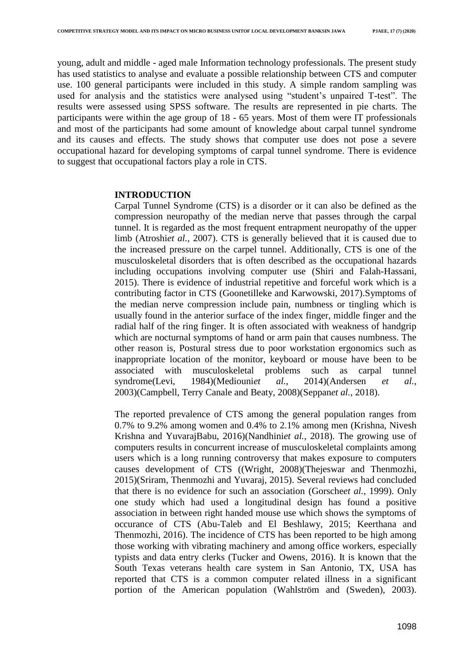young, adult and middle - aged male Information technology professionals. The present study has used statistics to analyse and evaluate a possible relationship between CTS and computer use. 100 general participants were included in this study. A simple random sampling was used for analysis and the statistics were analysed using "student"s unpaired T-test". The results were assessed using SPSS software. The results are represented in pie charts. The participants were within the age group of 18 - 65 years. Most of them were IT professionals and most of the participants had some amount of knowledge about carpal tunnel syndrome and its causes and effects. The study shows that computer use does not pose a severe occupational hazard for developing symptoms of carpal tunnel syndrome. There is evidence to suggest that occupational factors play a role in CTS.

#### **INTRODUCTION**

Carpal Tunnel Syndrome (CTS) is a disorder or it can also be defined as the compression neuropathy of the median nerve that passes through the carpal tunnel. It is regarded as the most frequent entrapment neuropathy of the upper limb [\(Atroshi](https://paperpile.com/c/QrA7He/Hwfam)*[et al.](https://paperpile.com/c/QrA7He/Hwfam)*[, 2007\).](https://paperpile.com/c/QrA7He/Hwfam) CTS is generally believed that it is caused due to the increased pressure on the carpel tunnel. Additionally, CTS is one of the musculoskeletal disorders that is often described as the occupational hazards including occupations involving computer use [\(Shiri and Falah-Hassani,](https://paperpile.com/c/QrA7He/jeKU9)  [2015\).](https://paperpile.com/c/QrA7He/jeKU9) There is evidence of industrial repetitive and forceful work which is a contributing factor in CTS [\(Goonetilleke and Karwowski, 2017\).](https://paperpile.com/c/QrA7He/n4Fk1)Symptoms of the median nerve compression include pain, numbness or tingling which is usually found in the anterior surface of the index finger, middle finger and the radial half of the ring finger. It is often associated with weakness of handgrip which are nocturnal symptoms of hand or arm pain that causes numbness. The other reason is, Postural stress due to poor workstation ergonomics such as inappropriate location of the monitor, keyboard or mouse have been to be associated with musculoskeletal problems such as carpal tunnel syndrom[e\(Levi, 1984\)\(Mediouni](https://paperpile.com/c/QrA7He/qWsc4)*et al.*[, 2014\)\(](https://paperpile.com/c/QrA7He/7qZ8I)Andersen *[et al.](https://paperpile.com/c/QrA7He/EW6Xj)*[,](https://paperpile.com/c/QrA7He/EW6Xj)  [2003\)\(Campbell, Terry Canale and B](https://paperpile.com/c/QrA7He/EW6Xj)eat[y, 2008\)\(](https://paperpile.com/c/QrA7He/AQIGF)Seppa[n](https://paperpile.com/c/QrA7He/6IkaK)*[et al.](https://paperpile.com/c/QrA7He/6IkaK)*[, 2018\).](https://paperpile.com/c/QrA7He/6IkaK)

The reported prevalence of CTS among the general population ranges from 0.7% to 9.2% among women and 0.4% to 2.1% among men [\(Krishna, Nivesh](https://paperpile.com/c/QrA7He/MhMqv)  [Krishna and YuvarajBabu, 2016\)\(Nandhini](https://paperpile.com/c/QrA7He/MhMqv)*et al.*[, 2018\).](https://paperpile.com/c/QrA7He/Y0OBL) The growing use of computers results in concurrent increase of musculoskeletal complaints among users which is a long running controversy that makes exposure to computers causes development of CTS [\(\(Wright, 2008\)\(Thejeswar and Thenmozhi,](https://paperpile.com/c/QrA7He/MJLM3)  2015[\)\(Sriram, Thenmozhi and Yuvaraj, 2015\).](https://paperpile.com/c/QrA7He/LjinN) Several reviews had concluded that there is no evidence for such an association [\(Gorsche](https://paperpile.com/c/QrA7He/xLW1G)*[et al.](https://paperpile.com/c/QrA7He/xLW1G)*[, 1999\).](https://paperpile.com/c/QrA7He/xLW1G) Only one study which had used a longitudinal design has found a positive association in between right handed mouse use which shows the symptoms of occurance of CTS [\(Abu-Taleb and El Beshlawy, 2015; Keerthana and](https://paperpile.com/c/QrA7He/QWvOw+LpGZh)  [Thenmozhi, 2016\).](https://paperpile.com/c/QrA7He/QWvOw+LpGZh) The incidence of CTS has been reported to be high among those working with vibrating machinery and among office workers, especially typists and data entry clerks [\(Tucker and Owens, 2016\).](https://paperpile.com/c/QrA7He/qCMqL) It is known that the South Texas veterans health care system in San Antonio, TX, USA has reported that CTS is a common computer related illness in a significant portion of the American population [\(Wahlström and \(Sweden\), 2003\).](https://paperpile.com/c/QrA7He/Az1pj)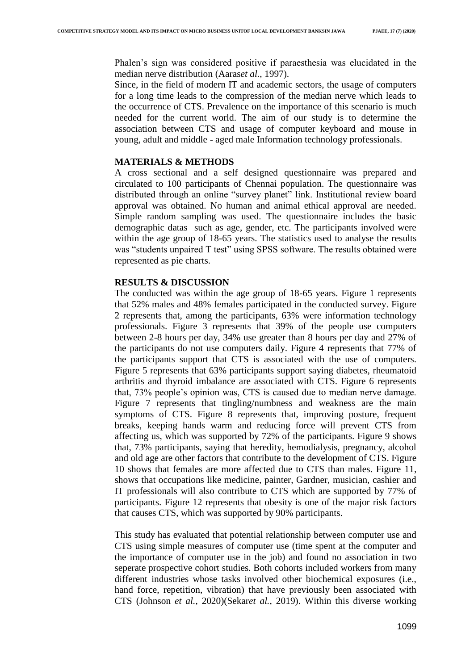Phalen's sign was considered positive if paraesthesia was elucidated in the median nerve distribution [\(Aaras](https://paperpile.com/c/QrA7He/Munft)*[et al.](https://paperpile.com/c/QrA7He/Munft)*[, 1997\).](https://paperpile.com/c/QrA7He/Munft)

Since, in the field of modern IT and academic sectors, the usage of computers for a long time leads to the compression of the median nerve which leads to the occurrence of CTS. Prevalence on the importance of this scenario is much needed for the current world. The aim of our study is to determine the association between CTS and usage of computer keyboard and mouse in young, adult and middle - aged male Information technology professionals.

## **MATERIALS & METHODS**

A cross sectional and a self designed questionnaire was prepared and circulated to 100 participants of Chennai population. The questionnaire was distributed through an online "survey planet" link. Institutional review board approval was obtained. No human and animal ethical approval are needed. Simple random sampling was used. The questionnaire includes the basic demographic datas such as age, gender, etc. The participants involved were within the age group of 18-65 years. The statistics used to analyse the results was "students unpaired T test" using SPSS software. The results obtained were represented as pie charts.

## **RESULTS & DISCUSSION**

The conducted was within the age group of 18-65 years. Figure 1 represents that 52% males and 48% females participated in the conducted survey. Figure 2 represents that, among the participants, 63% were information technology professionals. Figure 3 represents that 39% of the people use computers between 2-8 hours per day, 34% use greater than 8 hours per day and 27% of the participants do not use computers daily. Figure 4 represents that 77% of the participants support that CTS is associated with the use of computers. Figure 5 represents that 63% participants support saying diabetes, rheumatoid arthritis and thyroid imbalance are associated with CTS. Figure 6 represents that, 73% people"s opinion was, CTS is caused due to median nerve damage. Figure 7 represents that tingling/numbness and weakness are the main symptoms of CTS. Figure 8 represents that, improving posture, frequent breaks, keeping hands warm and reducing force will prevent CTS from affecting us, which was supported by 72% of the participants. Figure 9 shows that, 73% participants, saying that heredity, hemodialysis, pregnancy, alcohol and old age are other factors that contribute to the development of CTS. Figure 10 shows that females are more affected due to CTS than males. Figure 11, shows that occupations like medicine, painter, Gardner, musician, cashier and IT professionals will also contribute to CTS which are supported by 77% of participants. Figure 12 represents that obesity is one of the major risk factors that causes CTS, which was supported by 90% participants.

This study has evaluated that potential relationship between computer use and CTS using simple measures of computer use (time spent at the computer and the importance of computer use in the job) and found no association in two seperate prospective cohort studies. Both cohorts included workers from many different industries whose tasks involved other biochemical exposures (i.e., hand force, repetition, vibration) that have previously been associated with CTS [\(Johnson](https://paperpile.com/c/QrA7He/L2aA6) *[et al.](https://paperpile.com/c/QrA7He/L2aA6)*, 2020[\)\(Sekar](https://paperpile.com/c/QrA7He/L2aA6)*[e](https://paperpile.com/c/QrA7He/doLBb)t al.*[, 2019\).](https://paperpile.com/c/QrA7He/doLBb) Within this diverse working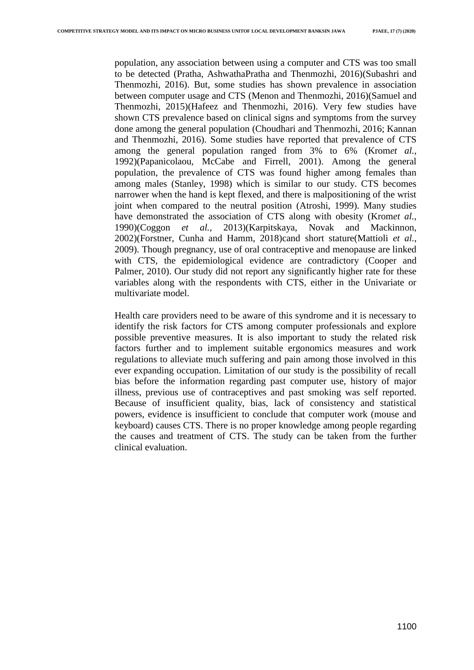population, any association between using a computer and CTS was too small to be detected [\(Pratha, AshwathaPratha and Thenmozhi, 2016\)\(Subashri and](https://paperpile.com/c/QrA7He/o3Prb)  Thenmozhi, 2016). But, some studies has shown prevalence in association between computer usage and CTS [\(Menon and Thenmozhi, 2016\)\(Samuel and](https://paperpile.com/c/QrA7He/lgATn)  Thenmozhi, 2015[\)\(Hafeez and Thenmozhi, 2016\).](https://paperpile.com/c/QrA7He/OvRmY) Very few studies have shown CTS prevalence based on clinical signs and symptoms from the survey done among the general population [\(Choudhari and Thenmozhi, 2016; Kannan](https://paperpile.com/c/QrA7He/wRmpO+7U7Qe)  [and Thenmozhi, 2016\).](https://paperpile.com/c/QrA7He/wRmpO+7U7Qe) Some studies have reported that prevalence of CTS among the general population ranged from 3% to 6% [\(Krom](https://paperpile.com/c/QrA7He/tOUkN)*[et al.](https://paperpile.com/c/QrA7He/tOUkN)*[,](https://paperpile.com/c/QrA7He/tOUkN)  [1992\)\(Papanicolaou, McCabe and Firrell, 2001\).](https://paperpile.com/c/QrA7He/tOUkN) Among the general population, the prevalence of CTS was found higher among females than among males [\(Stanley, 1998\)](https://paperpile.com/c/QrA7He/dV1sE) which is similar to our study. CTS becomes narrower when the hand is kept flexed, and there is malpositioning of the wrist joint when compared to the neutral position [\(Atroshi, 1999\).](https://paperpile.com/c/QrA7He/a2075) Many studies have demonstrated the association of CTS along with obesity [\(Krom](https://paperpile.com/c/QrA7He/39nQf)*[et al.](https://paperpile.com/c/QrA7He/39nQf)*[,](https://paperpile.com/c/QrA7He/39nQf)  [1990\)\(Coggon](https://paperpile.com/c/QrA7He/39nQf) *[e](https://paperpile.com/c/QrA7He/9JPY7)t al.*[, 2013\)](https://paperpile.com/c/QrA7He/9JPY7)[\(Karpitskaya, Novak and Mackinnon,](https://paperpile.com/c/QrA7He/339iY)  [2002\)\(Forstner, Cunha and Hamm, 2018\)c](https://paperpile.com/c/QrA7He/339iY)and short statur[e\(Mattioli](https://paperpile.com/c/QrA7He/Ffhw4) *[et al.](https://paperpile.com/c/QrA7He/Ffhw4)*[,](https://paperpile.com/c/QrA7He/Ffhw4)  [2009\).](https://paperpile.com/c/QrA7He/Ffhw4) Though pregnancy, use of oral contraceptive and menopause are linked with CTS, the epidemiological evidence are contradictory (Cooper and [Palmer, 2010\).](https://paperpile.com/c/QrA7He/nEF4) Our study did not report any significantly higher rate for these variables along with the respondents with CTS, either in the Univariate or multivariate model.

Health care providers need to be aware of this syndrome and it is necessary to identify the risk factors for CTS among computer professionals and explore possible preventive measures. It is also important to study the related risk factors further and to implement suitable ergonomics measures and work regulations to alleviate much suffering and pain among those involved in this ever expanding occupation. Limitation of our study is the possibility of recall bias before the information regarding past computer use, history of major illness, previous use of contraceptives and past smoking was self reported. Because of insufficient quality, bias, lack of consistency and statistical powers, evidence is insufficient to conclude that computer work (mouse and keyboard) causes CTS. There is no proper knowledge among people regarding the causes and treatment of CTS. The study can be taken from the further clinical evaluation.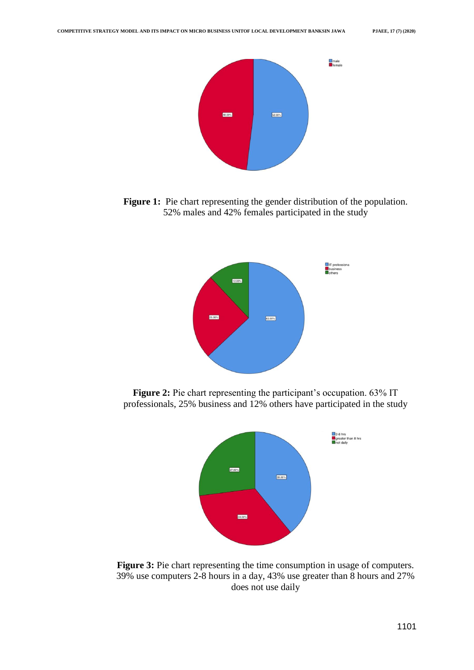

**Figure 1:** Pie chart representing the gender distribution of the population. 52% males and 42% females participated in the study



**Figure 2:** Pie chart representing the participant's occupation. 63% IT professionals, 25% business and 12% others have participated in the study



**Figure 3:** Pie chart representing the time consumption in usage of computers. 39% use computers 2-8 hours in a day, 43% use greater than 8 hours and 27% does not use daily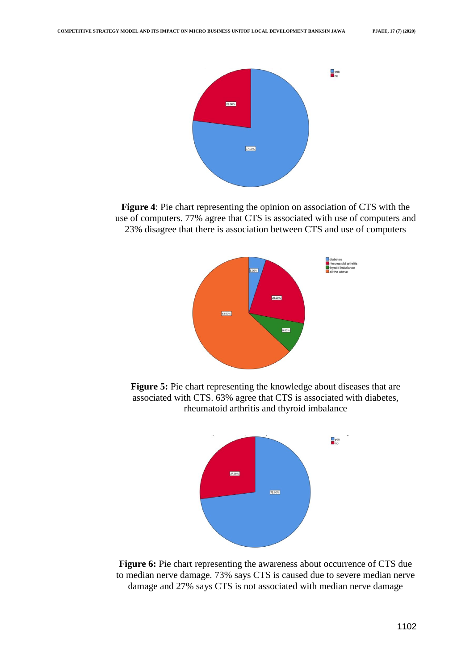

**Figure 4**: Pie chart representing the opinion on association of CTS with the use of computers. 77% agree that CTS is associated with use of computers and 23% disagree that there is association between CTS and use of computers



**Figure 5:** Pie chart representing the knowledge about diseases that are associated with CTS. 63% agree that CTS is associated with diabetes, rheumatoid arthritis and thyroid imbalance



**Figure 6:** Pie chart representing the awareness about occurrence of CTS due to median nerve damage. 73% says CTS is caused due to severe median nerve damage and 27% says CTS is not associated with median nerve damage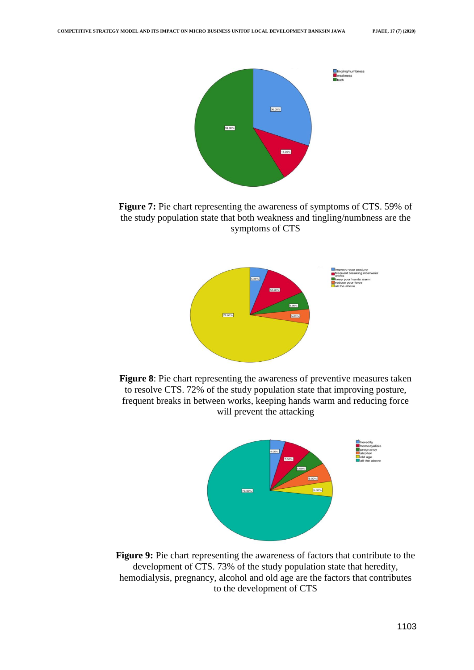

**Figure 7:** Pie chart representing the awareness of symptoms of CTS. 59% of the study population state that both weakness and tingling/numbness are the symptoms of CTS







**Figure 9:** Pie chart representing the awareness of factors that contribute to the development of CTS. 73% of the study population state that heredity, hemodialysis, pregnancy, alcohol and old age are the factors that contributes to the development of CTS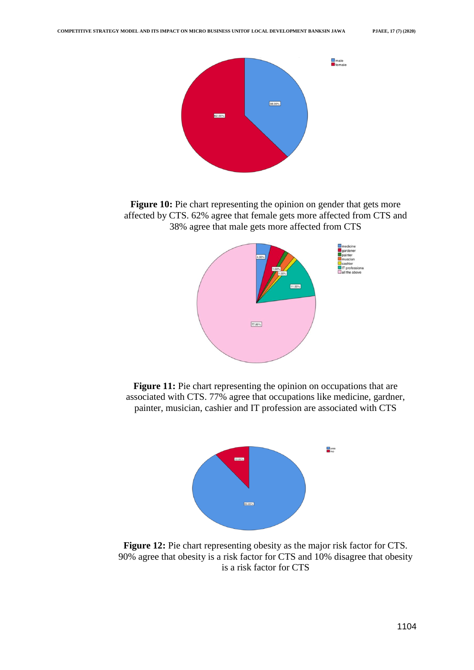

**Figure 10:** Pie chart representing the opinion on gender that gets more affected by CTS. 62% agree that female gets more affected from CTS and 38% agree that male gets more affected from CTS



**Figure 11:** Pie chart representing the opinion on occupations that are associated with CTS. 77% agree that occupations like medicine, gardner, painter, musician, cashier and IT profession are associated with CTS



**Figure 12:** Pie chart representing obesity as the major risk factor for CTS. 90% agree that obesity is a risk factor for CTS and 10% disagree that obesity is a risk factor for CTS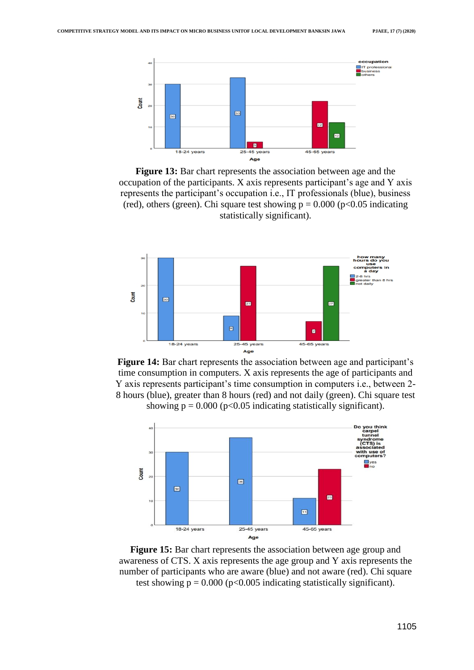

**Figure 13:** Bar chart represents the association between age and the occupation of the participants. X axis represents participant's age and Y axis represents the participant"s occupation i.e., IT professionals (blue), business (red), others (green). Chi square test showing  $p = 0.000$  ( $p < 0.05$  indicating statistically significant).







**Figure 15:** Bar chart represents the association between age group and awareness of CTS. X axis represents the age group and Y axis represents the number of participants who are aware (blue) and not aware (red). Chi square test showing  $p = 0.000$  ( $p < 0.005$  indicating statistically significant).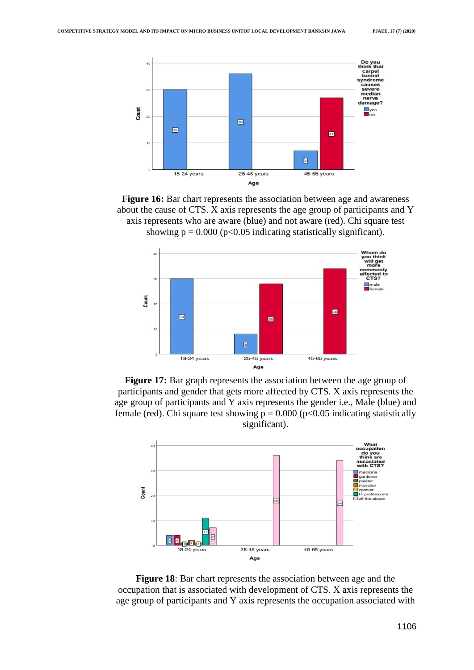









**Figure 18**: Bar chart represents the association between age and the occupation that is associated with development of CTS. X axis represents the age group of participants and Y axis represents the occupation associated with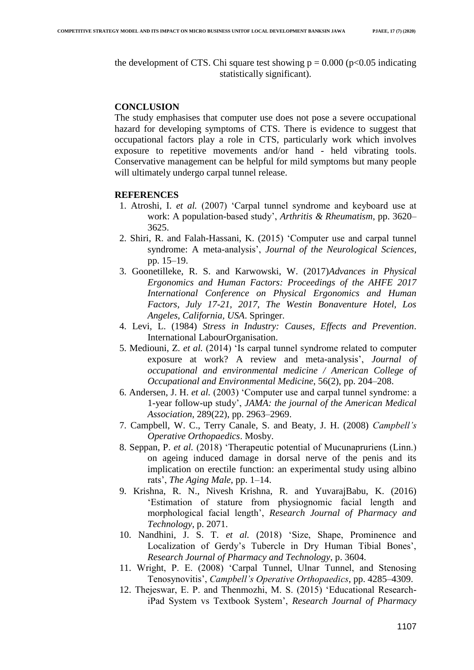the development of CTS. Chi square test showing  $p = 0.000$  ( $p < 0.05$  indicating statistically significant).

### **CONCLUSION**

The study emphasises that computer use does not pose a severe occupational hazard for developing symptoms of CTS. There is evidence to suggest that occupational factors play a role in CTS, particularly work which involves exposure to repetitive movements and/or hand - held vibrating tools. Conservative management can be helpful for mild symptoms but many people will ultimately undergo carpal tunnel release.

#### **REFERENCES**

- 1. [Atroshi, I.](http://paperpile.com/b/QrA7He/Hwfam) *[et al.](http://paperpile.com/b/QrA7He/Hwfam)* [\(2007\) "Carpal tunnel syndrome and keyboard use at](http://paperpile.com/b/QrA7He/Hwfam)  [work: A population-based study",](http://paperpile.com/b/QrA7He/Hwfam) *[Arthritis & Rheumatism](http://paperpile.com/b/QrA7He/Hwfam)*[, pp. 3620–](http://paperpile.com/b/QrA7He/Hwfam) [3625.](http://paperpile.com/b/QrA7He/Hwfam)
- 2. [Shiri, R. and Falah-Hassani, K. \(2015\) "Computer use and carpal tunnel](http://paperpile.com/b/QrA7He/jeKU9)  syndrome: A meta-analysis'[,](http://paperpile.com/b/QrA7He/jeKU9) *[Journal of the Neurological Sciences](http://paperpile.com/b/QrA7He/jeKU9)*, [pp. 15–19.](http://paperpile.com/b/QrA7He/jeKU9)
- 3. [Goonetilleke, R. S. and Karwowski, W. \(2017\)](http://paperpile.com/b/QrA7He/n4Fk1)*[Advances in Physical](http://paperpile.com/b/QrA7He/n4Fk1)  Ergonomics and Human Factors: Proceedings of the AHFE 2017 International Conference on Physical Ergonomics and Human Factors, July 17-21, 2017, The Westin Bonaventure Hotel, Los Angeles, California, USA*[. Springer.](http://paperpile.com/b/QrA7He/n4Fk1)
- 4. [Levi, L. \(1984\)](http://paperpile.com/b/QrA7He/qWsc4) *[Stress in Industry: Causes, Effects and Prevention](http://paperpile.com/b/QrA7He/qWsc4)*[.](http://paperpile.com/b/QrA7He/qWsc4)  [International LabourOrganisation.](http://paperpile.com/b/QrA7He/qWsc4)
- 5. [Mediouni, Z.](http://paperpile.com/b/QrA7He/7qZ8I) *[et al.](http://paperpile.com/b/QrA7He/7qZ8I)* [\(2014\) "Is carpal tunnel syndrome related to computer](http://paperpile.com/b/QrA7He/7qZ8I)  exposure at work? A review and meta-analysis', *Journal of occupational and environmental medicine / American College of Occupational and Environmental Medicine*[, 56\(2\), pp. 204–208.](http://paperpile.com/b/QrA7He/7qZ8I)
- 6. [Andersen, J. H.](http://paperpile.com/b/QrA7He/EW6Xj) *[et al.](http://paperpile.com/b/QrA7He/EW6Xj)* [\(2003\) "Computer use and carpal tunnel syndrome: a](http://paperpile.com/b/QrA7He/EW6Xj)  [1-year follow-up study",](http://paperpile.com/b/QrA7He/EW6Xj) *[JAMA: the journal of the American Medical](http://paperpile.com/b/QrA7He/EW6Xj)  Association*[, 289\(22\), pp. 2963–2969.](http://paperpile.com/b/QrA7He/EW6Xj)
- 7. [Campbell, W. C., Terry Canale, S. and Beaty,](http://paperpile.com/b/QrA7He/AQIGF) J. H. (2008) *[Campbell's](http://paperpile.com/b/QrA7He/AQIGF)  Operative Orthopaedics*[. Mosby.](http://paperpile.com/b/QrA7He/AQIGF)
- 8. [Seppan, P.](http://paperpile.com/b/QrA7He/6IkaK) *[et al.](http://paperpile.com/b/QrA7He/6IkaK)* [\(2018\) "Therapeutic potential of Mucunapruriens \(Linn.\)](http://paperpile.com/b/QrA7He/6IkaK)  [on ageing induced damage in dorsal nerve of the penis and its](http://paperpile.com/b/QrA7He/6IkaK) [implication on erectile function: an experimental study using albino](http://paperpile.com/b/QrA7He/6IkaK)  [rats",](http://paperpile.com/b/QrA7He/6IkaK) *[The Aging Male](http://paperpile.com/b/QrA7He/6IkaK)*[, pp. 1–14.](http://paperpile.com/b/QrA7He/6IkaK)
- 9. [Krishna, R. N., Nivesh Krishna, R. and YuvarajBabu, K. \(2016\)](http://paperpile.com/b/QrA7He/MhMqv)  ["Estimation of stature from physiognomic facial length and](http://paperpile.com/b/QrA7He/MhMqv)  [morphological facial length",](http://paperpile.com/b/QrA7He/MhMqv) *[Research Journal of Pharmacy and](http://paperpile.com/b/QrA7He/MhMqv)  Technology*[, p. 2071.](http://paperpile.com/b/QrA7He/MhMqv)
- 10. [Nandhini, J. S. T.](http://paperpile.com/b/QrA7He/Y0OBL) *[et al.](http://paperpile.com/b/QrA7He/Y0OBL)* [\(2018\) "Size, Shape, Prominence and](http://paperpile.com/b/QrA7He/Y0OBL)  Localization of Gerdy's Tubercle in Dry Human Tibial Bones', *[Research Journal of Pharmacy and Technology](http://paperpile.com/b/QrA7He/Y0OBL)*[, p. 3604.](http://paperpile.com/b/QrA7He/Y0OBL)
- 11. [Wright, P. E. \(2008\) "Carpal Tunnel, Ulnar Tunnel, and Stenosing](http://paperpile.com/b/QrA7He/MJLM3)  [Tenosynovitis",](http://paperpile.com/b/QrA7He/MJLM3) *[Campbell's Operative Orthopaedics](http://paperpile.com/b/QrA7He/MJLM3)*[, pp. 4285–4309.](http://paperpile.com/b/QrA7He/MJLM3)
- 12. [Thejeswar, E. P. and Thenmozhi, M. S. \(2015\) "Educational Research](http://paperpile.com/b/QrA7He/lq8yF)[iPad System vs Textbook System",](http://paperpile.com/b/QrA7He/lq8yF) *[Research Journal of Pharmacy](http://paperpile.com/b/QrA7He/lq8yF)*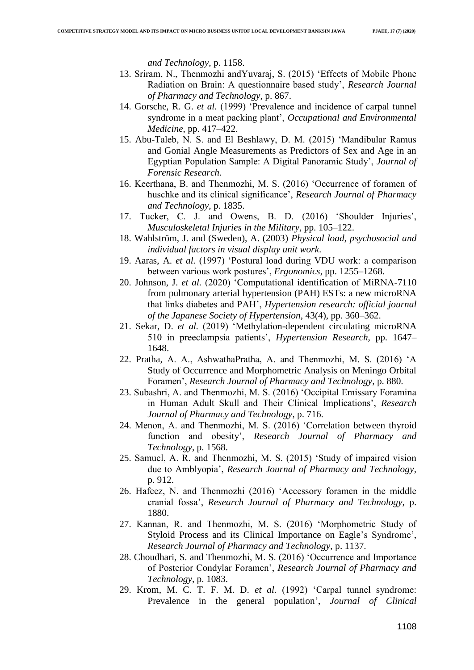*and Technology*[, p. 1158.](http://paperpile.com/b/QrA7He/lq8yF) 

- 13. [Sriram, N., Thenmozhi andYuvaraj, S. \(2015\) "Effects of Mobile Phone](http://paperpile.com/b/QrA7He/LjinN) [Radiation on Brain: A questionnaire based study",](http://paperpile.com/b/QrA7He/LjinN) *[Research Journal](http://paperpile.com/b/QrA7He/LjinN)  of Pharmacy and Technology*[, p. 867.](http://paperpile.com/b/QrA7He/LjinN)
- 14. [Gorsche, R. G.](http://paperpile.com/b/QrA7He/xLW1G) *[et al.](http://paperpile.com/b/QrA7He/xLW1G)* [\(1999\) "Prevalence and incidence of carpal tunnel](http://paperpile.com/b/QrA7He/xLW1G)  [syndrome in a meat packing plant",](http://paperpile.com/b/QrA7He/xLW1G) *[Occupational and Environmental](http://paperpile.com/b/QrA7He/xLW1G)  Medicine*[, pp. 417–422.](http://paperpile.com/b/QrA7He/xLW1G)
- 15. [Abu-Taleb, N. S. and El Beshlawy, D. M. \(2015\) "Mandibular Ramus](http://paperpile.com/b/QrA7He/QWvOw)  [and Gonial Angle Measurements as Predictors of Sex and Age in an](http://paperpile.com/b/QrA7He/QWvOw)  [Egyptian Population Sample: A Digital Panoramic Study",](http://paperpile.com/b/QrA7He/QWvOw) *[Journal of](http://paperpile.com/b/QrA7He/QWvOw)  Forensic Research*[.](http://paperpile.com/b/QrA7He/QWvOw)
- 16. [Keerthana, B. and Thenmozhi, M. S. \(2016\) "Occurrence of foramen of](http://paperpile.com/b/QrA7He/LpGZh)  [huschke and its clinical significance",](http://paperpile.com/b/QrA7He/LpGZh) *[Research Journal of Pharmacy](http://paperpile.com/b/QrA7He/LpGZh)  and Technology*[, p. 1835.](http://paperpile.com/b/QrA7He/LpGZh)
- 17. Tucker, C. J. and Owens, B. D. (2016) 'Shoulder Injuries', *[Musculoskeletal Injuries in the Military](http://paperpile.com/b/QrA7He/qCMqL)*[, pp. 105–122.](http://paperpile.com/b/QrA7He/qCMqL)
- 18. [Wahlström, J. and \(Sweden\), A. \(2003\)](http://paperpile.com/b/QrA7He/Az1pj) *[Physical load, psychosocial and](http://paperpile.com/b/QrA7He/Az1pj)  individual factors in visual display unit work*[.](http://paperpile.com/b/QrA7He/Az1pj)
- 19. [Aaras, A.](http://paperpile.com/b/QrA7He/Munft) *[et al.](http://paperpile.com/b/QrA7He/Munft)* [\(1997\) "Postural load during VDU work: a comparison](http://paperpile.com/b/QrA7He/Munft)  [between various work postures",](http://paperpile.com/b/QrA7He/Munft) *[Ergonomics](http://paperpile.com/b/QrA7He/Munft)*[, pp. 1255–1268.](http://paperpile.com/b/QrA7He/Munft)
- 20. [Johnson, J.](http://paperpile.com/b/QrA7He/L2aA6) *[et al.](http://paperpile.com/b/QrA7He/L2aA6)* [\(2020\) "Computational identification of MiRNA-7110](http://paperpile.com/b/QrA7He/L2aA6)  [from pulmonary arterial hypertension \(PAH\) ESTs: a new microRNA](http://paperpile.com/b/QrA7He/L2aA6)  [that links diabetes and PAH",](http://paperpile.com/b/QrA7He/L2aA6) *[Hypertension research: official journal](http://paperpile.com/b/QrA7He/L2aA6)  of the Japanese Society of Hypertension*[, 43\(4\), pp. 360–362.](http://paperpile.com/b/QrA7He/L2aA6)
- 21. [Sekar, D.](http://paperpile.com/b/QrA7He/doLBb) *[et al.](http://paperpile.com/b/QrA7He/doLBb)* [\(2019\) "Methylation-dependent circulating microRNA](http://paperpile.com/b/QrA7He/doLBb)  [510 in preeclampsia patients",](http://paperpile.com/b/QrA7He/doLBb) *[Hypertension Research](http://paperpile.com/b/QrA7He/doLBb)*[, pp. 1647–](http://paperpile.com/b/QrA7He/doLBb) [1648.](http://paperpile.com/b/QrA7He/doLBb)
- 22. [Pratha, A. A., AshwathaPratha, A. and Thenmozhi, M. S. \(2016\) "A](http://paperpile.com/b/QrA7He/o3Prb)  [Study of Occurrence and Morphometric Analysis on Meningo Orbital](http://paperpile.com/b/QrA7He/o3Prb)  [Foramen",](http://paperpile.com/b/QrA7He/o3Prb) *[Research Journal of Pharmacy and Technology](http://paperpile.com/b/QrA7He/o3Prb)*[, p. 880.](http://paperpile.com/b/QrA7He/o3Prb)
- 23. [Subashri, A. and Thenmozhi, M. S. \(2016\) "Occipital Emissary Foramina](http://paperpile.com/b/QrA7He/fiX1v)  [in Human Adult Skull and Their Clinical Implications",](http://paperpile.com/b/QrA7He/fiX1v) *[Research](http://paperpile.com/b/QrA7He/fiX1v)  Journal of Pharmacy and Technology*[, p. 716.](http://paperpile.com/b/QrA7He/fiX1v)
- 24. [Menon, A. and Thenmozhi, M. S. \(2016\) "Correlation between thyroid](http://paperpile.com/b/QrA7He/lgATn)  [function and obesity",](http://paperpile.com/b/QrA7He/lgATn) *[Research Journal of Pharmacy and](http://paperpile.com/b/QrA7He/lgATn)  Technology*[, p. 1568.](http://paperpile.com/b/QrA7He/lgATn)
- 25. [Samuel, A. R. and Thenmozhi, M. S. \(2015\) "Study of impaired vision](http://paperpile.com/b/QrA7He/FqjDw)  [due to Amblyopia",](http://paperpile.com/b/QrA7He/FqjDw) *[Research Journal of Pharmacy and Technology](http://paperpile.com/b/QrA7He/FqjDw)*[,](http://paperpile.com/b/QrA7He/FqjDw)  [p. 912.](http://paperpile.com/b/QrA7He/FqjDw)
- 26. [Hafeez, N. and Thenmozhi \(2016\) "Accessory foramen in the middle](http://paperpile.com/b/QrA7He/OvRmY)  [cranial fossa",](http://paperpile.com/b/QrA7He/OvRmY) *[Research Journal of Pharmacy and Technology](http://paperpile.com/b/QrA7He/OvRmY)*[, p.](http://paperpile.com/b/QrA7He/OvRmY)  [1880.](http://paperpile.com/b/QrA7He/OvRmY)
- 27. [Kannan, R. and Thenmozhi, M. S. \(2016\) "Morphometric Study of](http://paperpile.com/b/QrA7He/wRmpO)  Styloid Process and its Clinical Importance on Eagle's Syndrome', *[Research Journal of Pharmacy and Technology](http://paperpile.com/b/QrA7He/wRmpO)*[, p. 1137.](http://paperpile.com/b/QrA7He/wRmpO)
- 28. [Choudhari, S. and Thenmozhi, M. S. \(2016\) "Occurrence and Importance](http://paperpile.com/b/QrA7He/7U7Qe)  [of Posterior Condylar Foramen",](http://paperpile.com/b/QrA7He/7U7Qe) *[Research Journal of Pharmacy and](http://paperpile.com/b/QrA7He/7U7Qe)  Technology*[, p. 1083.](http://paperpile.com/b/QrA7He/7U7Qe)
- 29. [Krom, M. C. T. F. M. D.](http://paperpile.com/b/QrA7He/tOUkN) *[et al.](http://paperpile.com/b/QrA7He/tOUkN)* [\(1992\) "Carpal tunnel syndrome:](http://paperpile.com/b/QrA7He/tOUkN)  Prevalence in the general population', *Journal of Clinical*